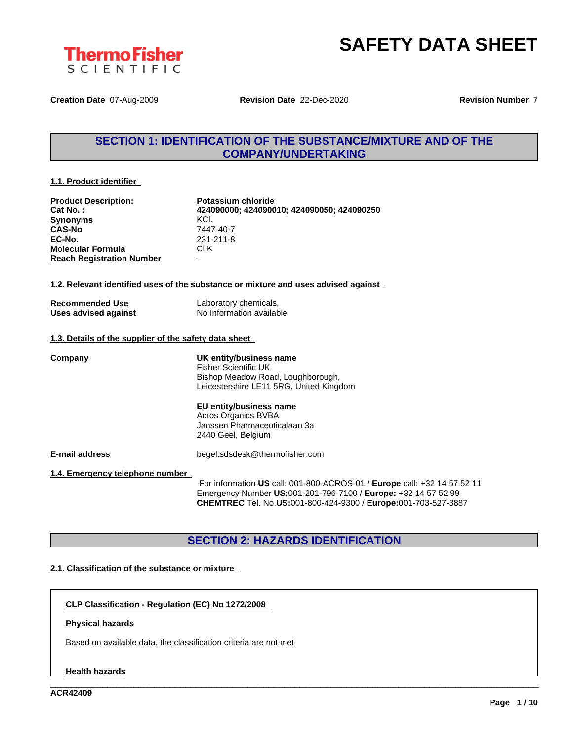



**Creation Date** 07-Aug-2009 **Revision Date** 22-Dec-2020 **Revision Number** 7

### **SECTION 1: IDENTIFICATION OF THE SUBSTANCE/MIXTURE AND OF THE COMPANY/UNDERTAKING**

#### **1.1. Product identifier**

| <b>Product Description:</b><br>Cat No.:<br><b>Synonyms</b><br><b>CAS-No</b><br>EC-No. | Potassium chloride<br>424090000; 424090010; 424090050; 424090250<br>KCI.<br>7447-40-7<br>231-211-8<br>CI K                                                                                                                                            |
|---------------------------------------------------------------------------------------|-------------------------------------------------------------------------------------------------------------------------------------------------------------------------------------------------------------------------------------------------------|
| <b>Molecular Formula</b><br><b>Reach Registration Number</b>                          |                                                                                                                                                                                                                                                       |
|                                                                                       | 1.2. Relevant identified uses of the substance or mixture and uses advised against                                                                                                                                                                    |
| <b>Recommended Use</b><br>Uses advised against                                        | Laboratory chemicals.<br>No Information available                                                                                                                                                                                                     |
| 1.3. Details of the supplier of the safety data sheet                                 |                                                                                                                                                                                                                                                       |
| Company                                                                               | UK entity/business name<br><b>Fisher Scientific UK</b><br>Bishop Meadow Road, Loughborough,<br>Leicestershire LE11 5RG, United Kingdom<br>EU entity/business name<br><b>Acros Organics BVBA</b><br>Janssen Pharmaceuticalaan 3a<br>2440 Geel, Belgium |
| <b>E-mail address</b>                                                                 | begel.sdsdesk@thermofisher.com                                                                                                                                                                                                                        |
| 1.4. Emergency telephone number                                                       | For information US call: 001-800-ACROS-01 / Europe call: +32 14 57 52 11<br>$Emorganov(Number IIR:001.206.7100/Eurano:122.14.57.52.00$                                                                                                                |

For information **US** call: 001-800-ACROS-01 / **Europe** call: +32 14 57 52 11 Emergency Number **US:**001-201-796-7100 / **Europe:** +32 14 57 52 99 **CHEMTREC** Tel. No.**US:**001-800-424-9300 / **Europe:**001-703-527-3887

\_\_\_\_\_\_\_\_\_\_\_\_\_\_\_\_\_\_\_\_\_\_\_\_\_\_\_\_\_\_\_\_\_\_\_\_\_\_\_\_\_\_\_\_\_\_\_\_\_\_\_\_\_\_\_\_\_\_\_\_\_\_\_\_\_\_\_\_\_\_\_\_\_\_\_\_\_\_\_\_\_\_\_\_\_\_\_\_\_\_\_\_\_\_

### **SECTION 2: HAZARDS IDENTIFICATION**

#### **2.1. Classification of the substance or mixture**

**CLP Classification - Regulation (EC) No 1272/2008**

#### **Physical hazards**

Based on available data, the classification criteria are not met

#### **Health hazards**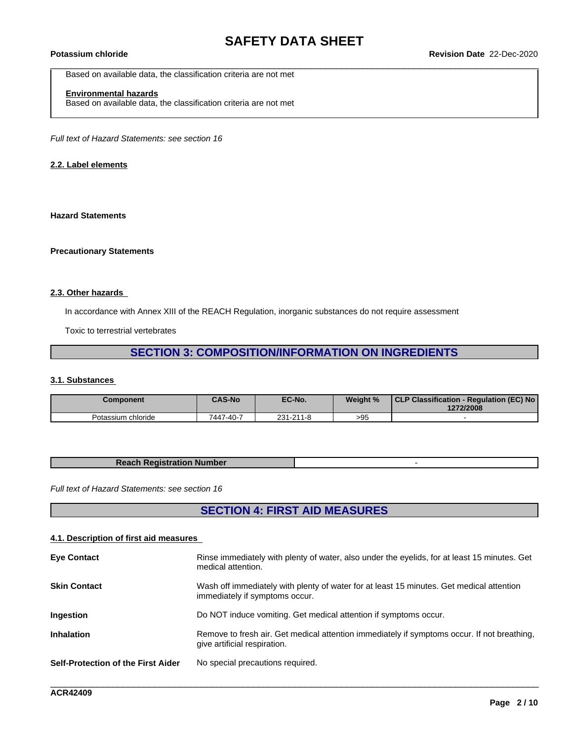Based on available data, the classification criteria are not met

### **Environmental hazards**

Based on available data, the classification criteria are not met

*Full text of Hazard Statements: see section 16*

#### **2.2. Label elements**

#### **Hazard Statements**

#### **Precautionary Statements**

#### **2.3. Other hazards**

In accordance with Annex XIII of the REACH Regulation, inorganic substances do not require assessment

Toxic to terrestrial vertebrates

### **SECTION 3: COMPOSITION/INFORMATION ON INGREDIENTS**

#### **3.1. Substances**

| <b>Component</b>   | <b>CAS-No</b> | EC-No.    | Weight % | CLP Classification - Regulation (EC) No<br>1272/2008 |
|--------------------|---------------|-----------|----------|------------------------------------------------------|
| Potassium chloride | 7447-40-7     | 231-211-8 | >95      |                                                      |

| <b>Reach Registration Number</b> |  |
|----------------------------------|--|
|                                  |  |

*Full text of Hazard Statements: see section 16*

### **SECTION 4: FIRST AID MEASURES**

#### **4.1. Description of first aid measures**

| Wash off immediately with plenty of water for at least 15 minutes. Get medical attention<br><b>Skin Contact</b><br>immediately if symptoms occur.<br>Do NOT induce vomiting. Get medical attention if symptoms occur.<br><b>Ingestion</b><br><b>Inhalation</b><br>Remove to fresh air. Get medical attention immediately if symptoms occur. If not breathing,<br>give artificial respiration.<br><b>Self-Protection of the First Aider</b><br>No special precautions required. | <b>Eye Contact</b> | Rinse immediately with plenty of water, also under the eyelids, for at least 15 minutes. Get<br>medical attention. |
|--------------------------------------------------------------------------------------------------------------------------------------------------------------------------------------------------------------------------------------------------------------------------------------------------------------------------------------------------------------------------------------------------------------------------------------------------------------------------------|--------------------|--------------------------------------------------------------------------------------------------------------------|
|                                                                                                                                                                                                                                                                                                                                                                                                                                                                                |                    |                                                                                                                    |
|                                                                                                                                                                                                                                                                                                                                                                                                                                                                                |                    |                                                                                                                    |
|                                                                                                                                                                                                                                                                                                                                                                                                                                                                                |                    |                                                                                                                    |
|                                                                                                                                                                                                                                                                                                                                                                                                                                                                                |                    |                                                                                                                    |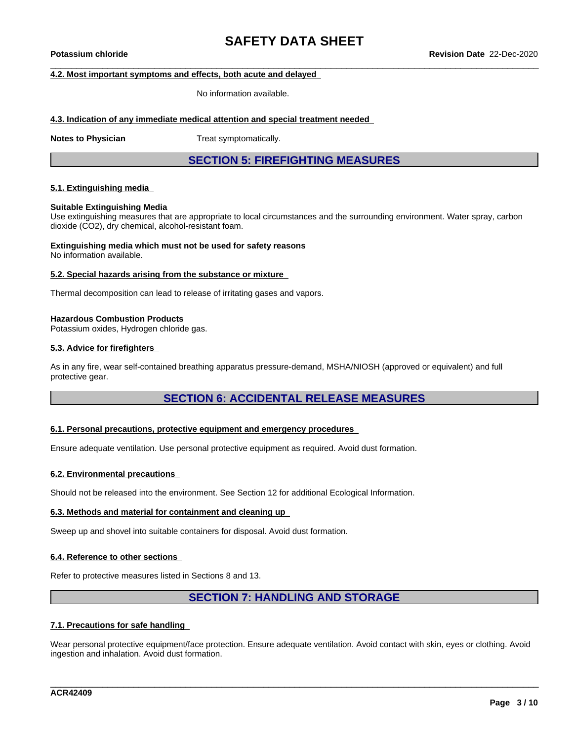#### **4.2. Most important symptoms and effects, both acute and delayed**

No information available.

#### **4.3. Indication of any immediate medical attention and special treatment needed**

**Notes to Physician** Treat symptomatically.

**SECTION 5: FIREFIGHTING MEASURES**

#### **5.1. Extinguishing media**

#### **Suitable Extinguishing Media**

Use extinguishing measures that are appropriate to local circumstances and the surrounding environment. Water spray, carbon dioxide (CO2), dry chemical, alcohol-resistant foam.

### **Extinguishing media which must not be used for safety reasons**

No information available.

#### **5.2. Special hazards arising from the substance or mixture**

Thermal decomposition can lead to release of irritating gases and vapors.

#### **Hazardous Combustion Products**

Potassium oxides, Hydrogen chloride gas.

#### **5.3. Advice for firefighters**

As in any fire, wear self-contained breathing apparatus pressure-demand, MSHA/NIOSH (approved or equivalent) and full protective gear.

#### **SECTION 6: ACCIDENTAL RELEASE MEASURES**

#### **6.1. Personal precautions, protective equipment and emergency procedures**

Ensure adequate ventilation. Use personal protective equipment as required. Avoid dust formation.

#### **6.2. Environmental precautions**

Should not be released into the environment. See Section 12 for additional Ecological Information.

#### **6.3. Methods and material for containment and cleaning up**

Sweep up and shovel into suitable containers for disposal. Avoid dust formation.

#### **6.4. Reference to other sections**

Refer to protective measures listed in Sections 8 and 13.

### **SECTION 7: HANDLING AND STORAGE**

#### **7.1. Precautions for safe handling**

Wear personal protective equipment/face protection. Ensure adequate ventilation. Avoid contact with skin, eyes or clothing. Avoid ingestion and inhalation. Avoid dust formation.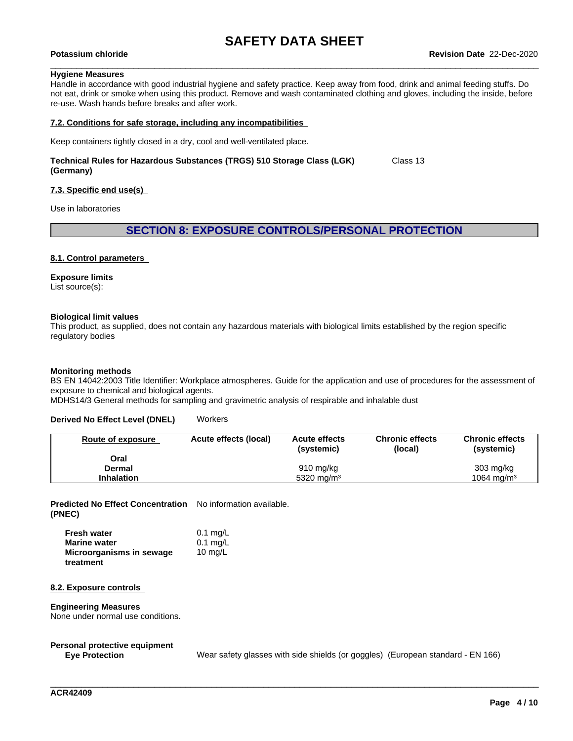#### **Hygiene Measures**

Handle in accordance with good industrial hygiene and safety practice. Keep away from food, drink and animal feeding stuffs. Do not eat, drink or smoke when using this product. Remove and wash contaminated clothing and gloves, including the inside, before re-use. Wash hands before breaks and after work.

#### **7.2. Conditions for safe storage, including any incompatibilities**

Keep containers tightly closed in a dry, cool and well-ventilated place.

#### **Technical Rules for Hazardous Substances (TRGS) 510 Storage Class (LGK) (Germany)** Class 13

#### **7.3. Specific end use(s)**

Use in laboratories

#### **SECTION 8: EXPOSURE CONTROLS/PERSONAL PROTECTION**

#### **8.1. Control parameters**

#### **Exposure limits**

List source(s):

#### **Biological limit values**

This product, as supplied, does not contain any hazardous materials with biological limits established by the region specific regulatory bodies

#### **Monitoring methods**

BS EN 14042:2003 Title Identifier: Workplace atmospheres. Guide for the application and use of procedures for the assessment of exposure to chemical and biological agents.

MDHS14/3 General methods for sampling and gravimetric analysis of respirable and inhalable dust

#### **Derived No Effect Level (DNEL)** Workers

| Route of exposure | Acute effects (local) | <b>Acute effects</b><br>(systemic) | <b>Chronic effects</b><br>(local) | <b>Chronic effects</b><br>(systemic) |
|-------------------|-----------------------|------------------------------------|-----------------------------------|--------------------------------------|
| Oral              |                       |                                    |                                   |                                      |
| Dermal            |                       | $910 \text{ mg/kg}$                |                                   | $303 \text{ mg/kg}$                  |
| <b>Inhalation</b> |                       | 5320 mg/m <sup>3</sup>             |                                   | 1064 mg/m <sup>3</sup>               |

**Predicted No Effect Concentration** No information available. **(PNEC)**

| <b>Fresh water</b>       | $0.1$ mg/L |
|--------------------------|------------|
| <b>Marine water</b>      | $0.1$ mg/L |
| Microorganisms in sewage | 10 $mq/L$  |
| treatment                |            |

#### **8.2. Exposure controls**

#### **Engineering Measures**

None under normal use conditions.

## **Personal protective equipment**

Wear safety glasses with side shields (or goggles) (European standard - EN 166)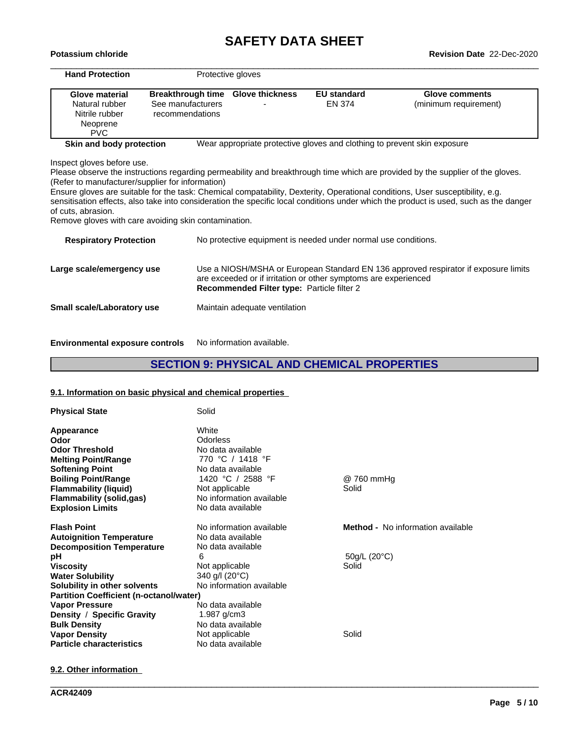# **SAFETY DATA SHEET**<br>Revision Date 22-Dec-2020

| <b>Hand Protection</b>                               |                                   | Protective gloves                          |                                                                          |                                                                                                                                       |
|------------------------------------------------------|-----------------------------------|--------------------------------------------|--------------------------------------------------------------------------|---------------------------------------------------------------------------------------------------------------------------------------|
| Glove material                                       | Breakthrough time Glove thickness |                                            | <b>EU standard</b>                                                       | <b>Glove comments</b>                                                                                                                 |
| Natural rubber                                       | See manufacturers                 |                                            | <b>EN 374</b>                                                            | (minimum requirement)                                                                                                                 |
| Nitrile rubber                                       | recommendations                   |                                            |                                                                          |                                                                                                                                       |
| Neoprene                                             |                                   |                                            |                                                                          |                                                                                                                                       |
| PVC.                                                 |                                   |                                            |                                                                          |                                                                                                                                       |
| Skin and body protection                             |                                   |                                            | Wear appropriate protective gloves and clothing to prevent skin exposure |                                                                                                                                       |
| Inspect gloves before use.                           |                                   |                                            |                                                                          |                                                                                                                                       |
|                                                      |                                   |                                            |                                                                          | Please observe the instructions regarding permeability and breakthrough time which are provided by the supplier of the gloves.        |
| (Refer to manufacturer/supplier for information)     |                                   |                                            |                                                                          |                                                                                                                                       |
|                                                      |                                   |                                            |                                                                          | Ensure gloves are suitable for the task: Chemical compatability, Dexterity, Operational conditions, User susceptibility, e.g.         |
|                                                      |                                   |                                            |                                                                          | sensitisation effects, also take into consideration the specific local conditions under which the product is used, such as the danger |
| of cuts, abrasion.                                   |                                   |                                            |                                                                          |                                                                                                                                       |
| Remove gloves with care avoiding skin contamination. |                                   |                                            |                                                                          |                                                                                                                                       |
| <b>Respiratory Protection</b>                        |                                   |                                            | No protective equipment is needed under normal use conditions.           |                                                                                                                                       |
| Large scale/emergency use                            |                                   |                                            |                                                                          | Use a NIOSH/MSHA or European Standard EN 136 approved respirator if exposure limits                                                   |
|                                                      |                                   | Recommended Filter type: Particle filter 2 | are exceeded or if irritation or other symptoms are experienced          |                                                                                                                                       |
| Small scale/Laboratory use                           |                                   | Maintain adequate ventilation              |                                                                          |                                                                                                                                       |

**Environmental exposure controls** No information available.

# **SECTION 9: PHYSICAL AND CHEMICAL PROPERTIES**

# **9.1. Information on basic physical and chemical properties**

| <b>Physical State</b>                          | Solid                    |                                          |
|------------------------------------------------|--------------------------|------------------------------------------|
| Appearance                                     | White                    |                                          |
| Odor                                           | Odorless                 |                                          |
| <b>Odor Threshold</b>                          | No data available        |                                          |
| <b>Melting Point/Range</b>                     | 770 °C / 1418 °F         |                                          |
| <b>Softening Point</b>                         | No data available        |                                          |
| <b>Boiling Point/Range</b>                     | 1420 °C / 2588 °F        | @ 760 mmHg                               |
| <b>Flammability (liquid)</b>                   | Not applicable           | Solid                                    |
| <b>Flammability (solid,gas)</b>                | No information available |                                          |
| <b>Explosion Limits</b>                        | No data available        |                                          |
| <b>Flash Point</b>                             | No information available | <b>Method -</b> No information available |
| <b>Autoignition Temperature</b>                | No data available        |                                          |
| <b>Decomposition Temperature</b>               | No data available        |                                          |
| рH                                             | 6                        | $50q/L$ (20 $°C$ )                       |
| <b>Viscosity</b>                               | Not applicable           | Solid                                    |
| <b>Water Solubility</b>                        | 340 g/l (20°C)           |                                          |
| Solubility in other solvents                   | No information available |                                          |
| <b>Partition Coefficient (n-octanol/water)</b> |                          |                                          |
| <b>Vapor Pressure</b>                          | No data available        |                                          |
| Density / Specific Gravity                     | 1.987 $g/cm3$            |                                          |
| <b>Bulk Density</b>                            | No data available        |                                          |
| <b>Vapor Density</b>                           | Not applicable           | Solid                                    |
| <b>Particle characteristics</b>                | No data available        |                                          |

\_\_\_\_\_\_\_\_\_\_\_\_\_\_\_\_\_\_\_\_\_\_\_\_\_\_\_\_\_\_\_\_\_\_\_\_\_\_\_\_\_\_\_\_\_\_\_\_\_\_\_\_\_\_\_\_\_\_\_\_\_\_\_\_\_\_\_\_\_\_\_\_\_\_\_\_\_\_\_\_\_\_\_\_\_\_\_\_\_\_\_\_\_\_

**9.2. Other information**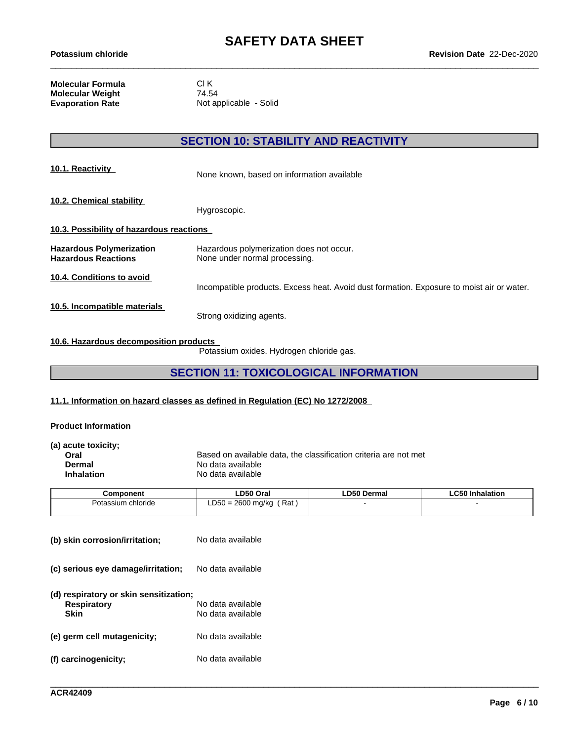**Molecular Formula** Cl K<br>**Molecular Weight** 74.54 **Molecular Weight<br>Evaporation Rate** 

**Not applicable - Solid** 

### **SECTION 10: STABILITY AND REACTIVITY**

| 10.1. Reactivity                                              | None known, based on information available                                                |  |  |  |
|---------------------------------------------------------------|-------------------------------------------------------------------------------------------|--|--|--|
| 10.2. Chemical stability                                      | Hygroscopic.                                                                              |  |  |  |
| 10.3. Possibility of hazardous reactions                      |                                                                                           |  |  |  |
| <b>Hazardous Polymerization</b><br><b>Hazardous Reactions</b> | Hazardous polymerization does not occur.<br>None under normal processing.                 |  |  |  |
| 10.4. Conditions to avoid                                     | Incompatible products. Excess heat. Avoid dust formation. Exposure to moist air or water. |  |  |  |
| 10.5. Incompatible materials                                  | Strong oxidizing agents.                                                                  |  |  |  |

#### **10.6. Hazardous decomposition products**

Potassium oxides. Hydrogen chloride gas.

### **SECTION 11: TOXICOLOGICAL INFORMATION**

#### **11.1. Information on hazard classes as defined in Regulation (EC) No 1272/2008**

#### **Product Information**

| (a) acute toxicity; |                                                                  |
|---------------------|------------------------------------------------------------------|
| Oral                | Based on available data, the classification criteria are not met |
| Dermal              | No data available                                                |
| <b>Inhalation</b>   | No data available                                                |
|                     |                                                                  |

| Component          | LD50 Oral                                | <b>LD50 Dermal</b> | <b>LC50 Inhalation</b> |
|--------------------|------------------------------------------|--------------------|------------------------|
| Potassium chloride | Rat<br>0 = 2600 ma/ka<br>$R - C$<br>∟ບບບ |                    |                        |
|                    |                                          |                    |                        |

| (b) skin corrosion/irritation;                                       | No data available                      |
|----------------------------------------------------------------------|----------------------------------------|
| (c) serious eye damage/irritation;                                   | No data available                      |
| (d) respiratory or skin sensitization;<br><b>Respiratory</b><br>Skin | No data available<br>No data available |
| (e) germ cell mutagenicity;                                          | No data available                      |
| (f) carcinogenicity;                                                 | No data available                      |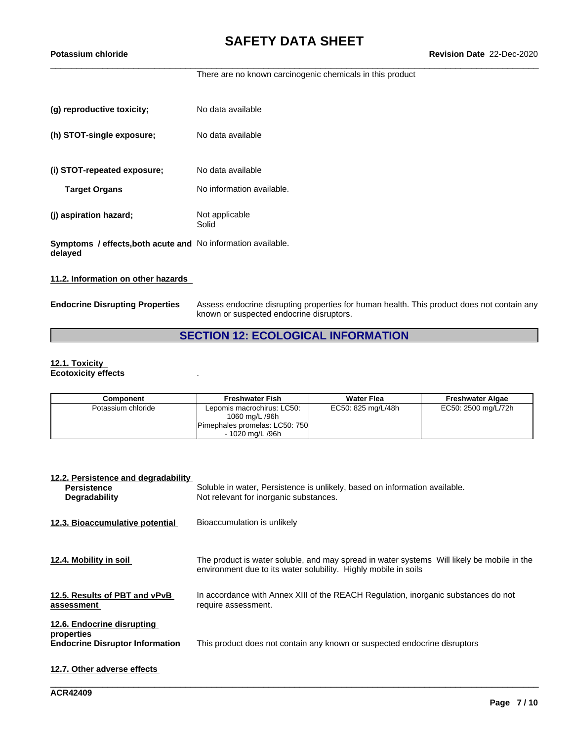There are no known carcinogenic chemicals in this product

| (g) reproductive toxicity;                                              | No data available         |
|-------------------------------------------------------------------------|---------------------------|
| (h) STOT-single exposure;                                               | No data available         |
| (i) STOT-repeated exposure;                                             | No data available         |
| <b>Target Organs</b>                                                    | No information available. |
| (j) aspiration hazard;                                                  | Not applicable<br>Solid   |
| Symptoms / effects, both acute and No information available.<br>delayed |                           |

#### **11.2. Information on other hazards**

**Endocrine Disrupting Properties** Assess endocrine disrupting properties for human health. This product does not contain any known or suspected endocrine disruptors.

### **SECTION 12: ECOLOGICAL INFORMATION**

#### **12.1. Toxicity Ecotoxicity effects** .

| Component          | <b>Freshwater Fish</b>                                                                             | <b>Water Flea</b>  | <b>Freshwater Algae</b> |
|--------------------|----------------------------------------------------------------------------------------------------|--------------------|-------------------------|
| Potassium chloride | Lepomis macrochirus: LC50:<br>1060 mg/L /96h<br>Pimephales promelas: LC50: 750<br>- 1020 ma/L /96h | EC50: 825 mg/L/48h | EC50: 2500 mg/L/72h     |

| 12.2. Persistence and degradability<br><b>Persistence</b><br><b>Degradability</b>  | Soluble in water, Persistence is unlikely, based on information available.<br>Not relevant for inorganic substances.                                          |
|------------------------------------------------------------------------------------|---------------------------------------------------------------------------------------------------------------------------------------------------------------|
| 12.3. Bioaccumulative potential                                                    | Bioaccumulation is unlikely                                                                                                                                   |
| 12.4. Mobility in soil                                                             | The product is water soluble, and may spread in water systems Will likely be mobile in the<br>environment due to its water solubility. Highly mobile in soils |
| 12.5. Results of PBT and vPvB<br>assessment                                        | In accordance with Annex XIII of the REACH Regulation, inorganic substances do not<br>require assessment.                                                     |
| 12.6. Endocrine disrupting<br>properties<br><b>Endocrine Disruptor Information</b> | This product does not contain any known or suspected endocrine disruptors                                                                                     |
| 12.7. Other adverse effects                                                        |                                                                                                                                                               |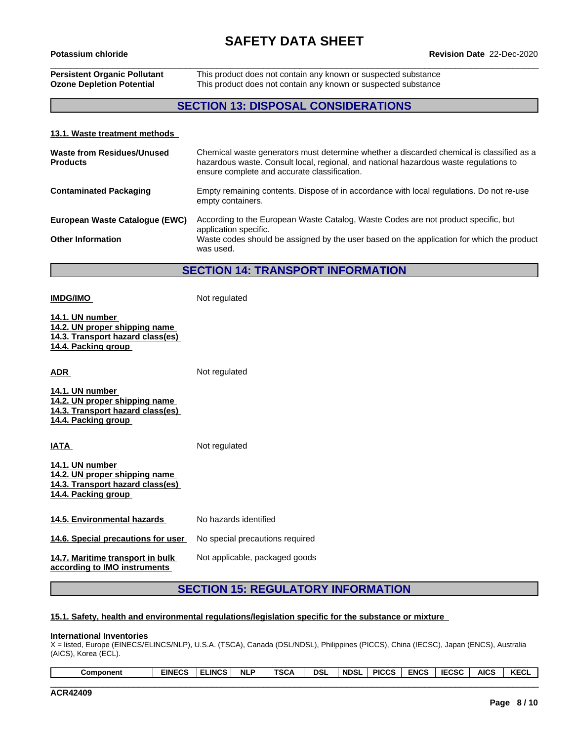### **Persistent Organic Pollutant** This product does not contain any known or suspected substance **Ozone Depletion Potential** This product does not contain any known or suspected substance

### **SECTION 13: DISPOSAL CONSIDERATIONS**

#### **13.1. Waste treatment methods**

| Waste from Residues/Unused<br><b>Products</b> | Chemical waste generators must determine whether a discarded chemical is classified as a<br>hazardous waste. Consult local, regional, and national hazardous waste regulations to<br>ensure complete and accurate classification. |
|-----------------------------------------------|-----------------------------------------------------------------------------------------------------------------------------------------------------------------------------------------------------------------------------------|
| <b>Contaminated Packaging</b>                 | Empty remaining contents. Dispose of in accordance with local regulations. Do not re-use<br>empty containers.                                                                                                                     |
| European Waste Catalogue (EWC)                | According to the European Waste Catalog, Waste Codes are not product specific, but<br>application specific.                                                                                                                       |
| <b>Other Information</b>                      | Waste codes should be assigned by the user based on the application for which the product<br>was used.                                                                                                                            |

#### **SECTION 14: TRANSPORT INFORMATION**

**14.1. UN number 14.2. UN proper shipping name 14.3. Transport hazard class(es) 14.4. Packing group ADR** Not regulated **14.1. UN number 14.2. UN proper shipping name 14.3. Transport hazard class(es)**

**IMDG/IMO** Not regulated

**14.4. Packing group**

**IATA** Not regulated **14.1. UN number 14.2. UN proper shipping name 14.3. Transport hazard class(es) 14.4. Packing group**

**14.5. Environmental hazards** No hazards identified

**14.6. Special precautions for user** No special precautions required

**14.7. Maritime transport in bulk according to IMO instruments**

Not applicable, packaged goods

### **SECTION 15: REGULATORY INFORMATION**

#### **15.1. Safety, health and environmental regulations/legislation specific for the substance or mixture**

#### **International Inventories**

X = listed, Europe (EINECS/ELINCS/NLP), U.S.A. (TSCA), Canada (DSL/NDSL), Philippines (PICCS), China (IECSC), Japan (ENCS), Australia (AICS), Korea (ECL).

| KECL<br><b>AICS</b><br>5000<br><b>ENCS</b><br><b>PICCS</b><br><br>wal | 'NDSL | <b>DSL</b> | TCC.<br>יש | <b>NLP</b> | $\cdots$<br>∟INCS. | <b>EINECS</b><br>نس۔ | Component |
|-----------------------------------------------------------------------|-------|------------|------------|------------|--------------------|----------------------|-----------|
|-----------------------------------------------------------------------|-------|------------|------------|------------|--------------------|----------------------|-----------|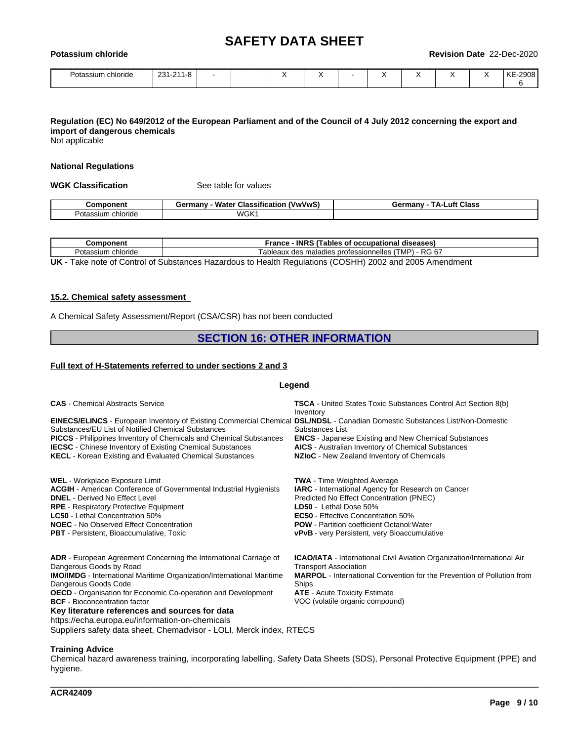| Potassium<br><b>chloride</b> |           |  |           |  |  | Revision Date 22-Dec-2020 |
|------------------------------|-----------|--|-----------|--|--|---------------------------|
| Potassium chloride           | 231-211-8 |  | $\lambda$ |  |  | KE-2908                   |

#### Regulation (EC) No 649/2012 of the European Parliament and of the Council of 4 July 2012 concerning the export and **import of dangerous chemicals**

Not applicable

#### **National Regulations**

**WGK Classification** See table for values

|                          | ---<br><b>Wate</b><br>$\mathbf{r}$<br><b>rmany</b><br>้ V พ/V พ/<br>⊶uassitic<br>.catio <sup>.</sup> | _uft<br><b>Class</b><br>∔armanv<br>JО |
|--------------------------|------------------------------------------------------------------------------------------------------|---------------------------------------|
| ⊇ota<br>$\sim$<br>сполов | WGK                                                                                                  |                                       |

| :omponent             | <b>INRS</b><br>ables<br>rance<br>occupation<br>diseases                                                                                 |
|-----------------------|-----------------------------------------------------------------------------------------------------------------------------------------|
| Potassium<br>chloride | R <sub>G</sub><br>- 27<br>√MP∖<br>ab<br>nelles<br>eaux<br>. nr<br>.otessionn<br>maladies<br>des<br>. -<br>O<br>$\overline{\phantom{a}}$ |
| _ _ _ _ _ _<br>__     | ____                                                                                                                                    |

**UK** - Take note of Control of Substances Hazardous to Health Regulations (COSHH) 2002 and 2005 Amendment

#### **15.2. Chemical safety assessment**

A Chemical Safety Assessment/Report (CSA/CSR) has not been conducted

#### **SECTION 16: OTHER INFORMATION**

#### **Full text of H-Statements referred to undersections 2 and 3**

#### **Legend**

| <b>CAS</b> - Chemical Abstracts Service                                                                                                                                                                                                                                                                                                                                                                                          | <b>TSCA</b> - United States Toxic Substances Control Act Section 8(b)<br>Inventory                                                                                                                                                                                                                                             |
|----------------------------------------------------------------------------------------------------------------------------------------------------------------------------------------------------------------------------------------------------------------------------------------------------------------------------------------------------------------------------------------------------------------------------------|--------------------------------------------------------------------------------------------------------------------------------------------------------------------------------------------------------------------------------------------------------------------------------------------------------------------------------|
| EINECS/ELINCS - European Inventory of Existing Commercial Chemical DSL/NDSL - Canadian Domestic Substances List/Non-Domestic<br>Substances/EU List of Notified Chemical Substances<br><b>PICCS</b> - Philippines Inventory of Chemicals and Chemical Substances<br><b>IECSC</b> - Chinese Inventory of Existing Chemical Substances<br><b>KECL</b> - Korean Existing and Evaluated Chemical Substances                           | Substances List<br><b>ENCS</b> - Japanese Existing and New Chemical Substances<br><b>AICS</b> - Australian Inventory of Chemical Substances<br>NZIoC - New Zealand Inventory of Chemicals                                                                                                                                      |
| WEL - Workplace Exposure Limit<br><b>ACGIH</b> - American Conference of Governmental Industrial Hygienists<br><b>DNEL</b> - Derived No Effect Level<br><b>RPE</b> - Respiratory Protective Equipment<br><b>LC50</b> - Lethal Concentration 50%<br><b>NOEC</b> - No Observed Effect Concentration<br><b>PBT</b> - Persistent, Bioaccumulative, Toxic                                                                              | <b>TWA</b> - Time Weighted Average<br><b>IARC</b> - International Agency for Research on Cancer<br>Predicted No Effect Concentration (PNEC)<br>LD50 - Lethal Dose 50%<br><b>EC50</b> - Effective Concentration 50%<br><b>POW</b> - Partition coefficient Octanol: Water<br><b>vPvB</b> - very Persistent, very Bioaccumulative |
| <b>ADR</b> - European Agreement Concerning the International Carriage of<br>Dangerous Goods by Road<br><b>IMO/IMDG</b> - International Maritime Organization/International Maritime<br>Dangerous Goods Code<br><b>OECD</b> - Organisation for Economic Co-operation and Development<br><b>BCF</b> - Bioconcentration factor<br>Key literature references and sources for data<br>https://echa.europa.eu/information-on-chemicals | <b>ICAO/IATA</b> - International Civil Aviation Organization/International Air<br><b>Transport Association</b><br><b>MARPOL</b> - International Convention for the Prevention of Pollution from<br>Ships<br><b>ATE</b> - Acute Toxicity Estimate<br>VOC (volatile organic compound)                                            |

Suppliers safety data sheet, Chemadvisor - LOLI, Merck index, RTECS

#### **Training Advice**

Chemical hazard awareness training, incorporating labelling, Safety Data Sheets (SDS), Personal Protective Equipment (PPE) and hygiene.